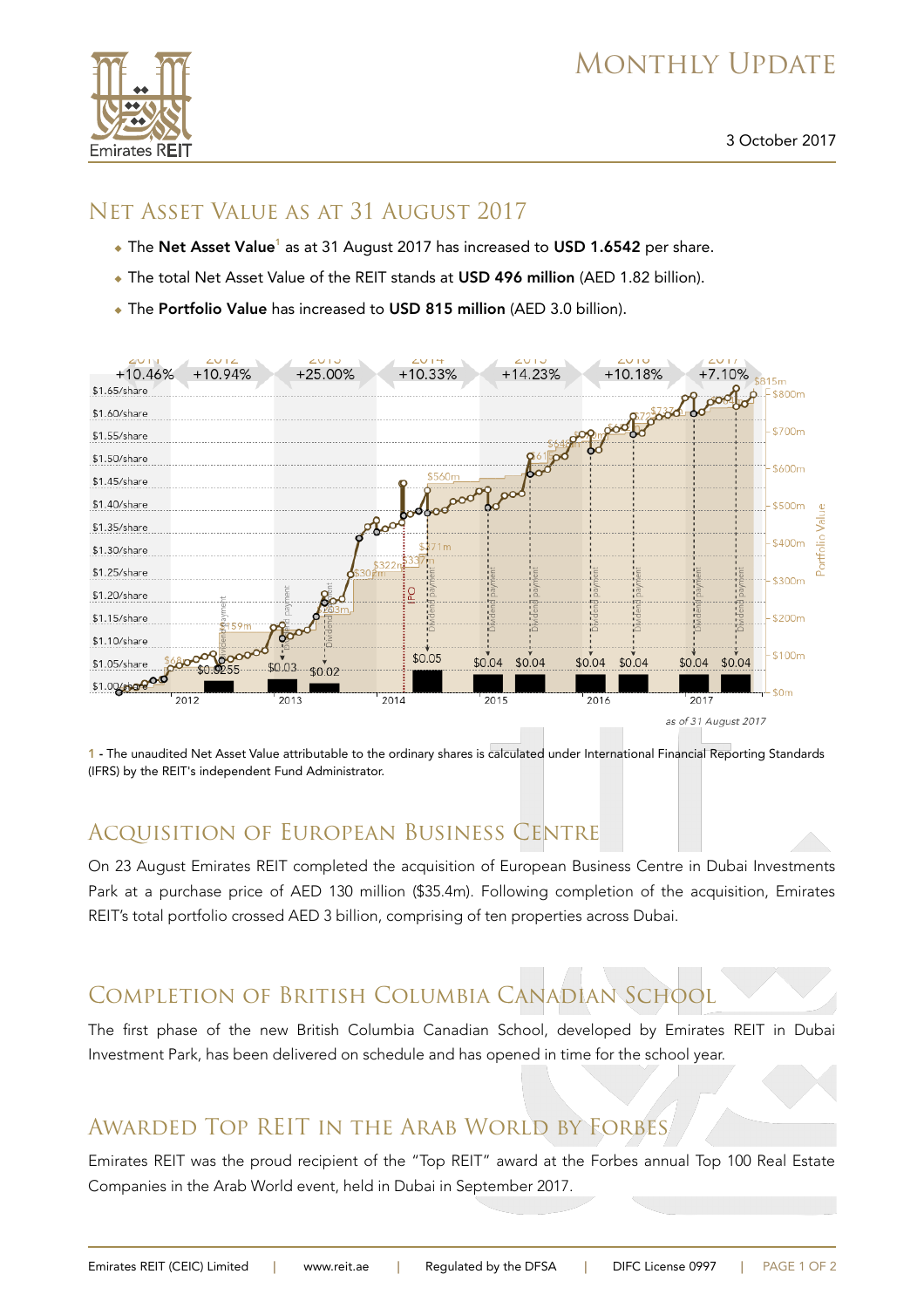# MONTHLY UPDATE



### Net Asset Value as at 31 August 2017

- $\bullet$  The Net Asset Value<sup>1</sup> as at 31 August 2017 has increased to USD 1.6542 per share.
- The total Net Asset Value of the REIT stands at USD 496 million (AED 1.82 billion).
- The Portfolio Value has increased to USD 815 million (AED 3.0 billion).



1 - The unaudited Net Asset Value attributable to the ordinary shares is calculated under International Financial Reporting Standards (IFRS) by the REIT's independent Fund Administrator.

## Acquisition of European Business Centre

On 23 August Emirates REIT completed the acquisition of European Business Centre in Dubai Investments Park at a purchase price of AED 130 million (\$35.4m). Following completion of the acquisition, Emirates REIT's total portfolio crossed AED 3 billion, comprising of ten properties across Dubai.

## Completion of British Columbia Canadian School

The first phase of the new British Columbia Canadian School, developed by Emirates REIT in Dubai Investment Park, has been delivered on schedule and has opened in time for the school year.

## Awarded Top REIT in the Arab World by Forbes

Emirates REIT was the proud recipient of the "Top REIT" award at the Forbes annual Top 100 Real Estate Companies in the Arab World event, held in Dubai in September 2017.